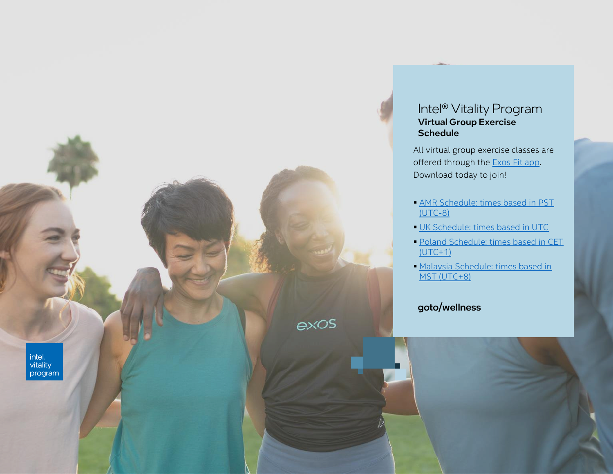#### Intel® Vitality Program Virtual Group Exercise **Schedule**

All virtual group exercise classes are offered through the Exos [Fit app](https://f.hubspotusercontent30.net/hubfs/211432/Intel%20Vitality%20Program/Exos%20Fit_QR%20(1).pdf). Download today to join!

- **AMR Schedule: times based in PST** (UTC-8)
- **[UK Schedule: times based in UTC](#page-2-0)**
- **Poland Schedule: times based in CET**  $(UTC+1)$
- **INalaysia Schedule: times based in** MST (UTC+8)

#### goto/wellness

exos

intel. nica<br>vitality<br>program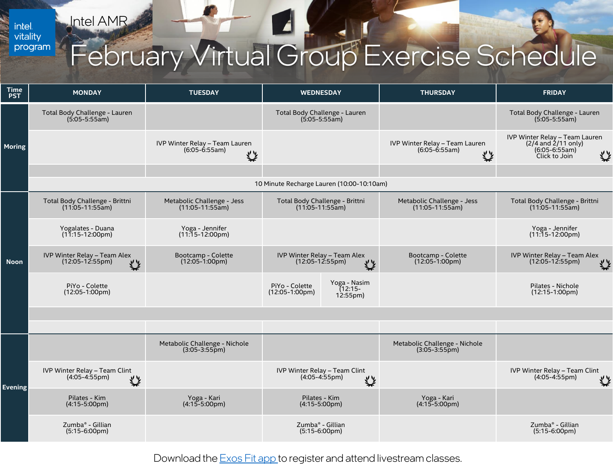Intel AMR

<span id="page-1-0"></span>intel.<br>vitality program

# February Virtual Group Exercise Schedule

| <b>Time</b><br><b>PST</b> | <b>MONDAY</b>                                                    | <b>TUESDAY</b>                                         | <b>WEDNESDAY</b>                                                             | <b>THURSDAY</b>                                          | <b>FRIDAY</b>                                                                                      |  |
|---------------------------|------------------------------------------------------------------|--------------------------------------------------------|------------------------------------------------------------------------------|----------------------------------------------------------|----------------------------------------------------------------------------------------------------|--|
| <b>Moring</b>             | Total Body Challenge - Lauren<br>$(5:05-5:55am)$                 |                                                        | Total Body Challenge - Lauren<br>$(5.05 - 5.55)$ am)                         |                                                          | Total Body Challenge - Lauren<br>$(5.05 - 5.55am)$                                                 |  |
|                           |                                                                  | IVP Winter Relay - Team Lauren<br>$(6:05-6:55am)$<br>奖 |                                                                              | IVP Winter Relay - Team Lauren<br>$(6:05 - 6:55am)$<br>袋 | IVP Winter Relay - Team Lauren<br>$(2/4$ and $2/11$ only)<br>$(6:05-6:55am)$<br>类<br>Click to Join |  |
|                           |                                                                  |                                                        |                                                                              |                                                          |                                                                                                    |  |
|                           | 10 Minute Recharge Lauren (10:00-10:10am)                        |                                                        |                                                                              |                                                          |                                                                                                    |  |
|                           | Total Body Challenge - Brittni<br>$(11:05-11:55am)$              | Metabolic Challenge - Jess<br>$(11:05-11:55am)$        | Total Body Challenge - Brittni<br>$(11:05-11:55am)$                          | Metabolic Challenge - Jess<br>$(11:05-11:55am)$          | Total Body Challenge - Brittni<br>$(11:05-11:55am)$                                                |  |
|                           | Yogalates - Duana<br>$(11:15-12:00 \text{pm})$                   | Yoga - Jennifer<br>$(11:15-12:00 \text{pm})$           |                                                                              |                                                          | Yoga - Jennifer<br>$(11:15-12:00 \text{pm})$                                                       |  |
| <b>Noon</b>               | IVP Winter Relay - Team Alex<br>$(12:05 - 12:55 \text{pm})$<br>烾 | Bootcamp - Colette<br>$(12:05-1:00 \text{pm})$         | IVP Winter Relay - Team Alex<br>$(12:05 - 12:55 \text{pm})$<br>丝             | Bootcamp - Colette<br>$(12:05-1:00 \text{pm})$           | IVP Winter Relay - Team Alex<br>$(12:05 - 12:55 \text{pm})$<br>奖                                   |  |
|                           | PiYo - Colette<br>$(12:05-1:00 \text{pm})$                       |                                                        | Yoga - Nasim<br>PiYo - Colette<br>(12:15-<br>$(12:05-1:00pm)$<br>$12:55$ pm) |                                                          | Pilates - Nichole<br>$(12:15-1:00 \text{pm})$                                                      |  |
|                           |                                                                  |                                                        |                                                                              |                                                          |                                                                                                    |  |
|                           |                                                                  |                                                        |                                                                              |                                                          |                                                                                                    |  |
|                           |                                                                  | Metabolic Challenge - Nichole<br>$(3:05-3:55pm)$       |                                                                              | Metabolic Challenge - Nichole<br>$(3:05-3:55p)$          |                                                                                                    |  |
|                           | IVP Winter Relay - Team Clint<br>$(4.05 - 4.55pm)$<br>些          |                                                        | IVP Winter Relay - Team Clint<br>$(4.05 - 4.55pm)$<br>登                      |                                                          | IVP Winter Relay - Team Clint<br>$(4.05 - 4.55pm)$<br>癸                                            |  |
| <b>Evening</b>            | Pilates - Kim<br>$(4:15-5:00 \text{pm})$                         | Yoga - Kari<br>$(4:15 - 5:00 \text{pm})$               | Pilates - Kim<br>$(4:15-5:00 \text{pm})$                                     | Yoga - Kari<br>$(4:15 - 5:00 \text{pm})$                 |                                                                                                    |  |
|                           | Zumba <sup>®</sup> - Gillian<br>$(5:15-6:00pm)$                  |                                                        | Zumba <sup>®</sup> - Gillian<br>$(5:15-6:00 \text{pm})$                      |                                                          | Zumba <sup>®</sup> - Gillian<br>$(5:15-6:00 \text{pm})$                                            |  |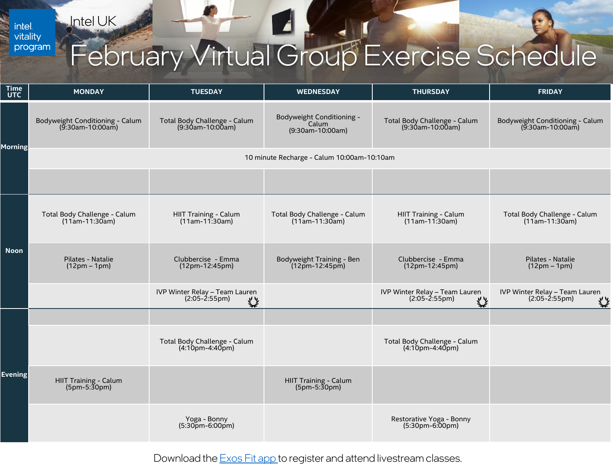<span id="page-2-0"></span>intel.<br>vitality program Intel UK

## February Virtual Group Exercise Schedule

| <b>Time</b><br><b>UTC</b> | <b>MONDAY</b>                                       | <b>TUESDAY</b>                                           | <b>WEDNESDAY</b>                                       | <b>THURSDAY</b>                                        | <b>FRIDAY</b>                                          |  |  |
|---------------------------|-----------------------------------------------------|----------------------------------------------------------|--------------------------------------------------------|--------------------------------------------------------|--------------------------------------------------------|--|--|
| <b>Morning</b>            | Bodyweight Conditioning - Calum<br>(9:30am-10:00am) | Total Body Challenge - Calum<br>(9:30am-10:00am)         | Bodyweight Conditioning -<br>Calum<br>(9:30am-10:00am) | Total Body Challenge - Calum<br>(9:30am-10:00am)       | Bodyweight Conditioning - Calum<br>(9:30am-10:00am)    |  |  |
|                           | 10 minute Recharge - Calum 10:00am-10:10am          |                                                          |                                                        |                                                        |                                                        |  |  |
|                           |                                                     |                                                          |                                                        |                                                        |                                                        |  |  |
| <b>Noon</b>               | Total Body Challenge - Calum<br>$(11am-11:30am)$    | HIIT Training - Calum<br>$(11am-11:30am)$                | Total Body Challenge - Calum<br>$(11am-11:30am)$       | HIIT Training - Calum<br>$(11am-11:30am)$              | Total Body Challenge - Calum<br>$(11am-11:30am)$       |  |  |
|                           | Pilates - Natalie<br>$(12pm - 1pm)$                 | Clubbercise - Emma<br>$(12pm-12:45pm)$                   | Bodyweight Training - Ben<br>$(12pm - 12:45pm)$        | Clubbercise - Emma<br>(12pm-12:45pm)                   | Pilates - Natalie<br>$(12pm - 1pm)$                    |  |  |
|                           |                                                     | IVP Winter Relay - Team Lauren<br>$(2:05 - 2:55pm)$<br>袋 |                                                        | IVP Winter Relay - Team Lauren<br>$(2:05-2:55pm)$<br>袋 | IVP Winter Relay - Team Lauren<br>$(2:05-2:55pm)$<br>类 |  |  |
| <b>Evening</b>            |                                                     |                                                          |                                                        |                                                        |                                                        |  |  |
|                           |                                                     | Total Body Challenge - Calum<br>$(4:10pm-4:40pm)$        |                                                        | Total Body Challenge - Calum<br>$(4:10pm-4:40pm)$      |                                                        |  |  |
|                           | HIIT Training - Calum<br>$(5pm-5:30pm)$             |                                                          | HIIT Training - Calum<br>$(5pm-5:30pm)$                |                                                        |                                                        |  |  |
|                           |                                                     | Yoga - Bonny<br>$(5:30pm-6:00pm)$                        |                                                        | Restorative Yoga - Bonny<br>$(5:30pm-6:00pm)$          |                                                        |  |  |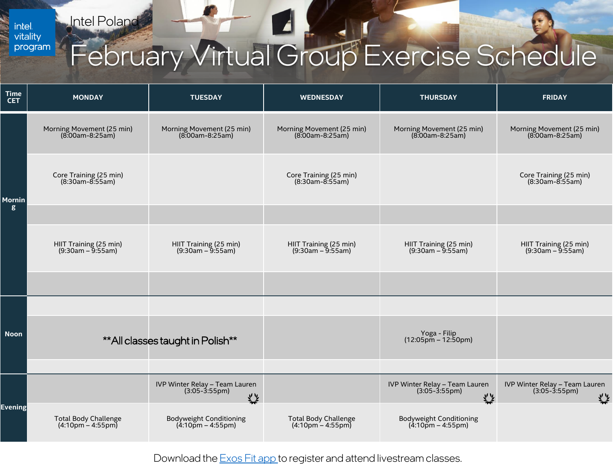Intel Poland

<span id="page-3-0"></span>intel.<br>vitality program

# February Virtual Group Exercise Schedule

| <b>Time</b><br><b>CET</b>         | <b>MONDAY</b>                                 | <b>TUESDAY</b>                                         | <b>WEDNESDAY</b>                                                   | <b>THURSDAY</b>                                               | <b>FRIDAY</b>                                          |
|-----------------------------------|-----------------------------------------------|--------------------------------------------------------|--------------------------------------------------------------------|---------------------------------------------------------------|--------------------------------------------------------|
| <b>Mornin</b><br>$\boldsymbol{g}$ | Morning Movement (25 min)<br>(8:00am-8:25am)  | Morning Movement (25 min)<br>$(8.00am - 8.25am)$       | Morning Movement (25 min)<br>$(8.00am - 8.25am)$                   | Morning Movement (25 min)<br>$(8.00am - 8.25am)$              | Morning Movement (25 min)<br>$(8.00am - 8.25am)$       |
|                                   | Core Training (25 min)<br>$(8:30am-8:55am)$   |                                                        | Core Training (25 min)<br>$(8:30am-8:55am)$                        |                                                               | Core Training (25 min)<br>$(8:30am-8:55am)$            |
|                                   |                                               |                                                        |                                                                    |                                                               |                                                        |
|                                   | HIIT Training (25 min)<br>$(9:30am - 9:55am)$ | HIIT Training (25 min)<br>$(9:30am - 9:55am)$          | HIIT Training (25 min)<br>$(9:30am - 9:55am)$                      | HIIT Training (25 min)<br>$(9:30am - 9:55am)$                 | HIIT Training (25 min)<br>$(9:30am - 9:55am)$          |
|                                   |                                               |                                                        |                                                                    |                                                               |                                                        |
| <b>Noon</b>                       |                                               |                                                        |                                                                    |                                                               |                                                        |
|                                   |                                               | ** All classes taught in Polish**                      |                                                                    | Yoga - Filip<br>$(12:05 \,\mathrm{pm} - 12:50 \,\mathrm{pm})$ |                                                        |
|                                   |                                               |                                                        |                                                                    |                                                               |                                                        |
| <b>Evening</b>                    |                                               | IVP Winter Relay - Team Lauren<br>$(3:05-3:55pm)$<br>奖 |                                                                    | IVP Winter Relay - Team Lauren<br>$(3:05-3:55pm)$<br>奖        | IVP Winter Relay - Team Lauren<br>$(3:05-3:55pm)$<br>奖 |
|                                   | Total Body Challenge<br>(4:10pm - 4:55pm)     | <b>Bodyweight Conditioning</b><br>$(4.10pm - 4.55pm)$  | <b>Total Body Challenge</b><br>$(4.10 \text{pm} - 4.55 \text{pm})$ | <b>Bodyweight Conditioning</b><br>$(4.10pm - 4.55pm)$         |                                                        |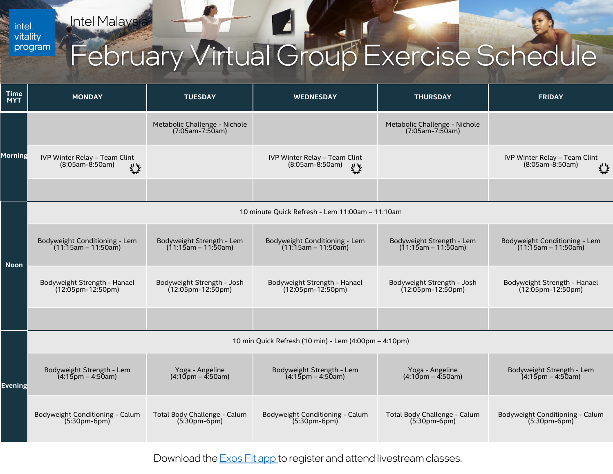**Intel Malaysia** 

<span id="page-4-0"></span>intel.<br>vitality program

## February Virtual Group Exercise Schedule

| <b>Time</b><br><b>MYT</b> | <b>MONDAY</b>                                                    | <b>TUESDAY</b>                                     | <b>WEDNESDAY</b>                                       | <b>THURSDAY</b>                                      | <b>FRIDAY</b>                                           |  |
|---------------------------|------------------------------------------------------------------|----------------------------------------------------|--------------------------------------------------------|------------------------------------------------------|---------------------------------------------------------|--|
| Morning                   |                                                                  | Metabolic Challenge - Nichole<br>(7:05am-7:50am)   |                                                        | Metabolic Challenge - Nichole<br>$(7:05am - 7:50am)$ |                                                         |  |
|                           | IVP Winter Relay - Team Clint<br>$(8:05am-8:50am)$<br>ぐと         |                                                    | IVP Winter Relay - Team Clint<br>(8:05am-8:50am)<br>くと |                                                      | IVP Winter Relay - Team Clint<br>$(8:05am-8:50am)$<br>类 |  |
|                           |                                                                  |                                                    |                                                        |                                                      |                                                         |  |
| <b>Noon</b>               | 10 minute Quick Refresh - Lem 11:00am - 11:10am                  |                                                    |                                                        |                                                      |                                                         |  |
|                           | Bodyweight Conditioning - Lem<br>$(11:15am - 11:50am)$           | Bodyweight Strength - Lem<br>$(11:15am - 11:50am)$ | Bodyweight Conditioning - Lem<br>$(11:15am - 11:50am)$ | Bodyweight Strength - Lem<br>$(11.15am - 11.50am)$   | Bodyweight Conditioning - Lem<br>$(11:15am - 11:50am)$  |  |
|                           | Bodyweight Strength - Hanael<br>(12:05pm-12:50pm)                | Bodyweight Strength - Josh<br>$(12:05$ pm-12:50pm) | Bodyweight Strength - Hanael<br>(12:05pm-12:50pm)      | Bodyweight Strength - Josh<br>$(12:05$ pm-12:50pm)   | Bodyweight Strength - Hanael<br>(12:05pm-12:50pm)       |  |
|                           |                                                                  |                                                    |                                                        |                                                      |                                                         |  |
| <b>Evening</b>            | 10 min Quick Refresh (10 min) - Lem (4:00pm - 4:10pm)            |                                                    |                                                        |                                                      |                                                         |  |
|                           | Bodyweight Strength - Lem<br>$(4:15 \text{pm} - 4:50 \text{am})$ | Yoga - Angeline<br>$(4:10)$ pm – 4:50am)           | Bodyweight Strength - Lem<br>$(4:15$ pm – 4:50am)      | Yoga - Angeline<br>$(4:10)$ pm – 4:50am)             | Bodyweight Strength - Lem<br>$(4:15$ pm – 4:50am)       |  |
|                           | Bodyweight Conditioning - Calum<br>$(5:30pm-6pm)$                | Total Body Challenge - Calum<br>$(5:30pm-6pm)$     | Bodyweight Conditioning - Calum<br>$(5:30pm-6pm)$      | Total Body Challenge - Calum<br>$(5.30pm-6pm)$       | Bodyweight Conditioning - Calum<br>$(5:30pm-6pm)$       |  |